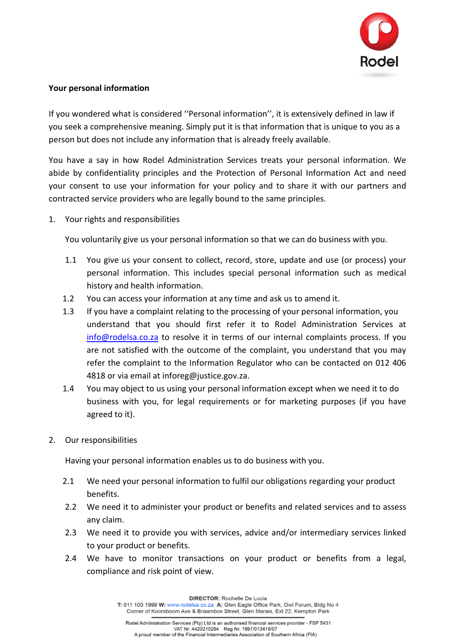

## **Your personal information**

If you wondered what is considered ''Personal information'', it is extensively defined in law if you seek a comprehensive meaning. Simply put it is that information that is unique to you as a person but does not include any information that is already freely available.

You have a say in how Rodel Administration Services treats your personal information. We abide by confidentiality principles and the Protection of Personal Information Act and need your consent to use your information for your policy and to share it with our partners and contracted service providers who are legally bound to the same principles.

1. Your rights and responsibilities

You voluntarily give us your personal information so that we can do business with you.

- 1.1 You give us your consent to collect, record, store, update and use (or process) your personal information. This includes special personal information such as medical history and health information.
- 1.2 You can access your information at any time and ask us to amend it.
- 1.3 If you have a complaint relating to the processing of your personal information, you understand that you should first refer it to Rodel Administration Services at [info@rodelsa.co.za](mailto:info@rodelsa.co.za) to resolve it in terms of our internal complaints process. If you are not satisfied with the outcome of the complaint, you understand that you may refer the complaint to the Information Regulator who can be contacted on 012 406 4818 or via email at inforeg@justice.gov.za.
- 1.4 You may object to us using your personal information except when we need it to do business with you, for legal requirements or for marketing purposes (if you have agreed to it).
- 2. Our responsibilities

Having your personal information enables us to do business with you.

- 2.1 We need your personal information to fulfil our obligations regarding your product benefits.
- 2.2 We need it to administer your product or benefits and related services and to assess any claim.
- 2.3 We need it to provide you with services, advice and/or intermediary services linked to your product or benefits.
- 2.4 We have to monitor transactions on your product or benefits from a legal, compliance and risk point of view.

DIRECTOR: Rochelle De Lucia

T: 011 100 1999 W: www.rodelsa.co.za A: Glen Eagle Office Park, Owl Forum, Bldg No 4 Corner of Koorsboom Ave & Braambos Street, Glen Marais, Ext 22, Kempton Park